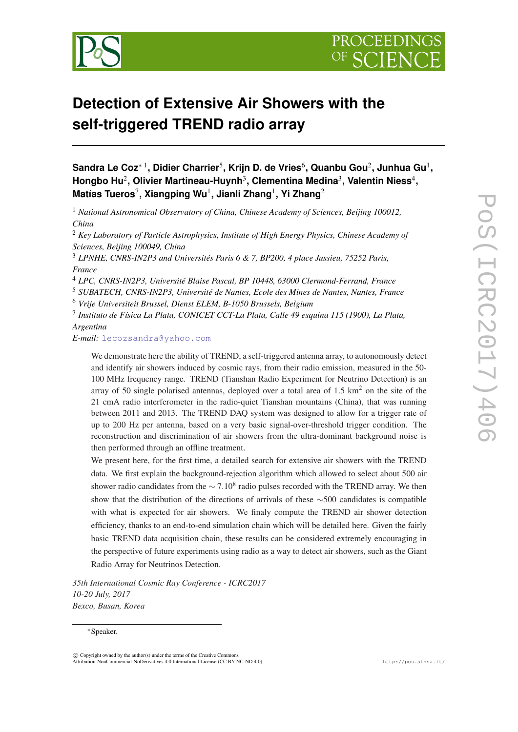



# **Detection of Extensive Air Showers with the self-triggered TREND radio array**

**Sandra Le Coz**<sup>∗</sup> <sup>1</sup> **, Didier Charrier**<sup>5</sup> **, Krijn D. de Vries**<sup>6</sup> **, Quanbu Gou**<sup>2</sup> **, Junhua Gu**<sup>1</sup> **,** Hongbo Hu<sup>2</sup>, Olivier Martineau-Huynh<sup>3</sup>, Clementina Medina<sup>3</sup>, Valentin Niess<sup>4</sup>, **Matías Tueros**<sup>7</sup> **, Xiangping Wu**<sup>1</sup> **, Jianli Zhang**<sup>1</sup> **, Yi Zhang**<sup>2</sup>

<sup>1</sup> *National Astronomical Observatory of China, Chinese Academy of Sciences, Beijing 100012, China*

<sup>2</sup> *Key Laboratory of Particle Astrophysics, Institute of High Energy Physics, Chinese Academy of Sciences, Beijing 100049, China*

<sup>3</sup> *LPNHE, CNRS-IN2P3 and Universités Paris 6 & 7, BP200, 4 place Jussieu, 75252 Paris, France*

<sup>4</sup> *LPC, CNRS-IN2P3, Université Blaise Pascal, BP 10448, 63000 Clermond-Ferrand, France*

<sup>5</sup> *SUBATECH, CNRS-IN2P3, Université de Nantes, Ecole des Mines de Nantes, Nantes, France* <sup>6</sup> *Vrije Universiteit Brussel, Dienst ELEM, B-1050 Brussels, Belgium*

7 *Instituto de Física La Plata, CONICET CCT-La Plata, Calle 49 esquina 115 (1900), La Plata, Argentina*

*E-mail:* [lecozsandra@yahoo.com](mailto:lecozsandra@yahoo.com)

We demonstrate here the ability of TREND, a self-triggered antenna array, to autonomously detect and identify air showers induced by cosmic rays, from their radio emission, measured in the 50- 100 MHz frequency range. TREND (Tianshan Radio Experiment for Neutrino Detection) is an array of 50 single polarised antennas, deployed over a total area of  $1.5 \text{ km}^2$  on the site of the 21 cmA radio interferometer in the radio-quiet Tianshan mountains (China), that was running between 2011 and 2013. The TREND DAQ system was designed to allow for a trigger rate of up to 200 Hz per antenna, based on a very basic signal-over-threshold trigger condition. The reconstruction and discrimination of air showers from the ultra-dominant background noise is then performed through an offline treatment.

We present here, for the first time, a detailed search for extensive air showers with the TREND data. We first explain the background-rejection algorithm which allowed to select about 500 air shower radio candidates from the  $\sim 7.10^8$  radio pulses recorded with the TREND array. We then show that the distribution of the directions of arrivals of these ∼500 candidates is compatible with what is expected for air showers. We finaly compute the TREND air shower detection efficiency, thanks to an end-to-end simulation chain which will be detailed here. Given the fairly basic TREND data acquisition chain, these results can be considered extremely encouraging in the perspective of future experiments using radio as a way to detect air showers, such as the Giant Radio Array for Neutrinos Detection.

*35th International Cosmic Ray Conference - ICRC2017 10-20 July, 2017 Bexco, Busan, Korea*

#### <sup>∗</sup>Speaker.

 $\overline{c}$  Copyright owned by the author(s) under the terms of the Creative Common Attribution-NonCommercial-NoDerivatives 4.0 International License (CC BY-NC-ND 4.0). http://pos.sissa.it/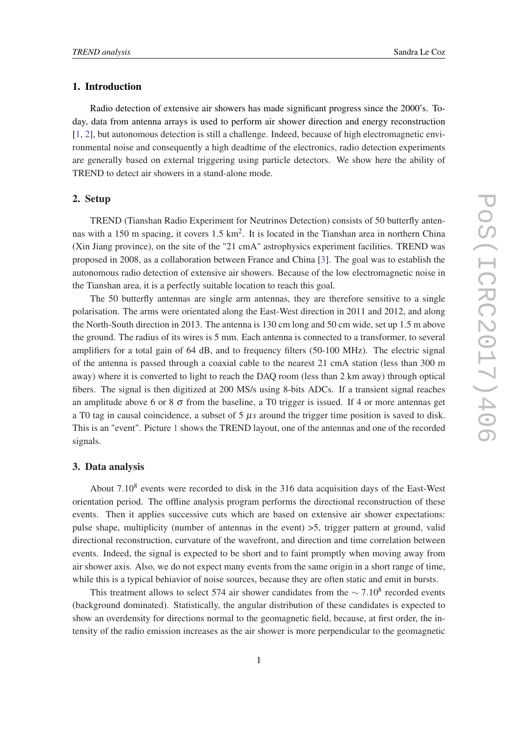# <span id="page-1-0"></span>1. Introduction

Radio detection of extensive air showers has made significant progress since the 2000's. Today, data from antenna arrays is used to perform air shower direction and energy reconstruction [[1](#page-8-0), [2](#page-8-0)], but autonomous detection is still a challenge. Indeed, because of high electromagnetic environmental noise and consequently a high deadtime of the electronics, radio detection experiments are generally based on external triggering using particle detectors. We show here the ability of TREND to detect air showers in a stand-alone mode.

## 2. Setup

TREND (Tianshan Radio Experiment for Neutrinos Detection) consists of 50 butterfly antennas with a 150 m spacing, it covers 1.5  $km^2$ . It is located in the Tianshan area in northern China (Xin Jiang province), on the site of the "21 cmA" astrophysics experiment facilities. TREND was proposed in 2008, as a collaboration between France and China [[3](#page-8-0)]. The goal was to establish the autonomous radio detection of extensive air showers. Because of the low electromagnetic noise in the Tianshan area, it is a perfectly suitable location to reach this goal.

The 50 butterfly antennas are single arm antennas, they are therefore sensitive to a single polarisation. The arms were orientated along the East-West direction in 2011 and 2012, and along the North-South direction in 2013. The antenna is 130 cm long and 50 cm wide, set up 1.5 m above the ground. The radius of its wires is 5 mm. Each antenna is connected to a transformer, to several amplifiers for a total gain of 64 dB, and to frequency filters (50-100 MHz). The electric signal of the antenna is passed through a coaxial cable to the nearest 21 cmA station (less than 300 m away) where it is converted to light to reach the DAQ room (less than 2 km away) through optical fibers. The signal is then digitized at 200 MS/s using 8-bits ADCs. If a transient signal reaches an amplitude above 6 or 8  $\sigma$  from the baseline, a T0 trigger is issued. If 4 or more antennas get a T0 tag in causal coincidence, a subset of 5 µ*s* around the trigger time position is saved to disk. This is an "event". Picture [1](#page-2-0) shows the TREND layout, one of the antennas and one of the recorded signals.

#### 3. Data analysis

About  $7.10<sup>8</sup>$  events were recorded to disk in the 316 data acquisition days of the East-West orientation period. The offline analysis program performs the directional reconstruction of these events. Then it applies successive cuts which are based on extensive air shower expectations: pulse shape, multiplicity (number of antennas in the event) >5, trigger pattern at ground, valid directional reconstruction, curvature of the wavefront, and direction and time correlation between events. Indeed, the signal is expected to be short and to faint promptly when moving away from air shower axis. Also, we do not expect many events from the same origin in a short range of time, while this is a typical behiavior of noise sources, because they are often static and emit in bursts.

This treatment allows to select 574 air shower candidates from the  $\sim 7.10^8$  recorded events (background dominated). Statistically, the angular distribution of these candidates is expected to show an overdensity for directions normal to the geomagnetic field, because, at first order, the intensity of the radio emission increases as the air shower is more perpendicular to the geomagnetic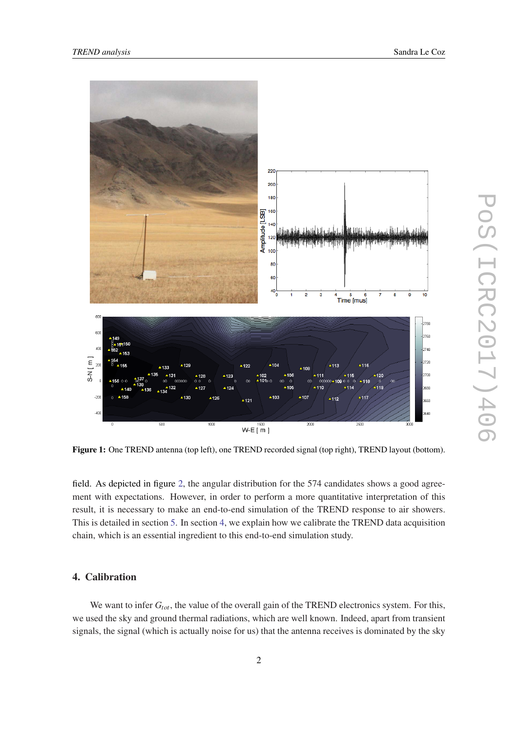<span id="page-2-0"></span>

Figure 1: One TREND antenna (top left), one TREND recorded signal (top right), TREND layout (bottom).

field. As depicted in figure [2](#page-3-0), the angular distribution for the 574 candidates shows a good agreement with expectations. However, in order to perform a more quantitative interpretation of this result, it is necessary to make an end-to-end simulation of the TREND response to air showers. This is detailed in section [5.](#page-5-0) In section 4, we explain how we calibrate the TREND data acquisition chain, which is an essential ingredient to this end-to-end simulation study.

# 4. Calibration

We want to infer  $G_{tot}$ , the value of the overall gain of the TREND electronics system. For this, we used the sky and ground thermal radiations, which are well known. Indeed, apart from transient signals, the signal (which is actually noise for us) that the antenna receives is dominated by the sky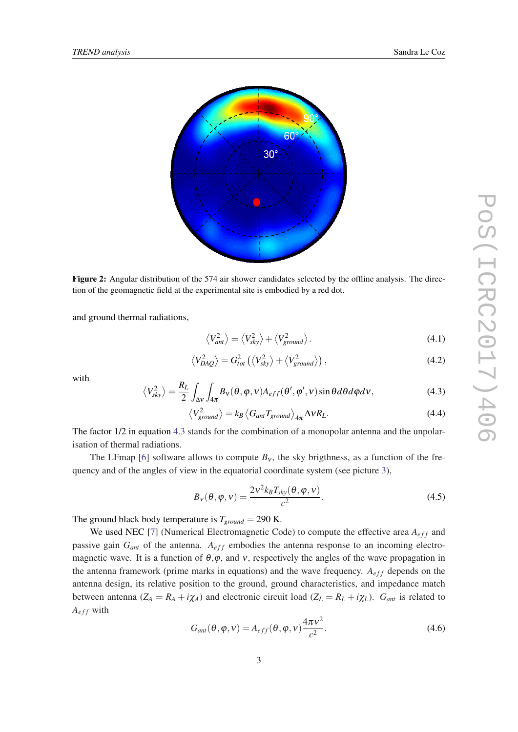<span id="page-3-0"></span>

Figure 2: Angular distribution of the 574 air shower candidates selected by the offline analysis. The direction of the geomagnetic field at the experimental site is embodied by a red dot.

and ground thermal radiations,

$$
\langle V_{ant}^2 \rangle = \langle V_{sky}^2 \rangle + \langle V_{ground}^2 \rangle. \tag{4.1}
$$

$$
\langle V_{DAQ}^2 \rangle = G_{tot}^2 \left( \langle V_{sky}^2 \rangle + \langle V_{ground}^2 \rangle \right), \tag{4.2}
$$

with

$$
\left\langle V_{sky}^2 \right\rangle = \frac{R_L}{2} \int_{\Delta V} \int_{4\pi} B_V(\theta, \varphi, v) A_{eff}(\theta', \varphi', v) \sin \theta d\theta d\varphi dv, \qquad (4.3)
$$

$$
\langle V_{ground}^2 \rangle = k_B \langle G_{ant} T_{ground} \rangle_{4\pi} \Delta v R_L.
$$
 (4.4)

The factor 1/2 in equation 4.3 stands for the combination of a monopolar antenna and the unpolarisation of thermal radiations.

The LFmap [[6](#page-8-0)] software allows to compute  $B<sub>v</sub>$ , the sky brigthness, as a function of the frequency and of the angles of view in the equatorial coordinate system (see picture [3](#page-4-0)),

$$
B_V(\theta, \varphi, v) = \frac{2v^2 k_B T_{sky}(\theta, \varphi, v)}{c^2}.
$$
\n(4.5)

The ground black body temperature is  $T_{ground} = 290$  K.

We used NEC [[7](#page-8-0)] (Numerical Electromagnetic Code) to compute the effective area  $A_{eff}$  and passive gain  $G_{ant}$  of the antenna.  $A_{eff}$  embodies the antenna response to an incoming electromagnetic wave. It is a function of  $\theta, \varphi$ , and v, respectively the angles of the wave propagation in the antenna framework (prime marks in equations) and the wave frequency.  $A_{eff}$  depends on the antenna design, its relative position to the ground, ground characteristics, and impedance match between antenna ( $Z_A = R_A + i\chi_A$ ) and electronic circuit load ( $Z_L = R_L + i\chi_L$ ).  $G_{ant}$  is related to  $A_{eff}$  with

$$
G_{ant}(\theta, \varphi, v) = A_{eff}(\theta, \varphi, v) \frac{4\pi v^2}{c^2}.
$$
\n(4.6)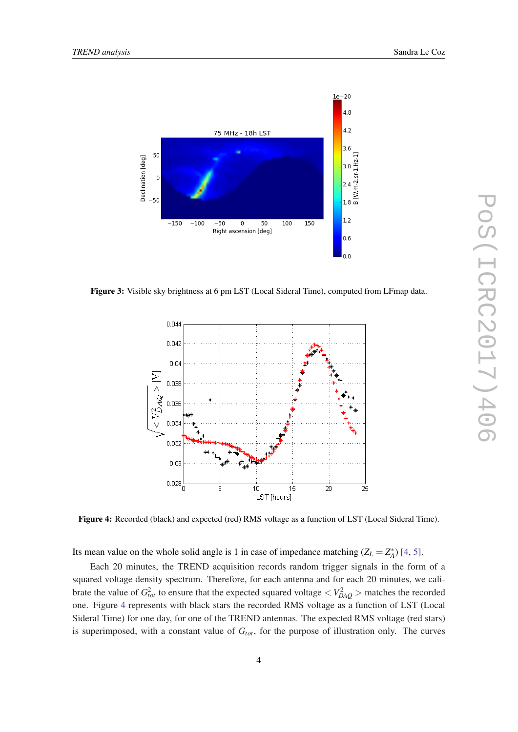<span id="page-4-0"></span>

Figure 3: Visible sky brightness at 6 pm LST (Local Sideral Time), computed from LFmap data.



Figure 4: Recorded (black) and expected (red) RMS voltage as a function of LST (Local Sideral Time).

Its mean value on the whole solid angle is 1 in case of impedance matching  $(Z_L = Z_A^*)$  [\[4,](#page-8-0) [5\]](#page-8-0).

Each 20 minutes, the TREND acquisition records random trigger signals in the form of a squared voltage density spectrum. Therefore, for each antenna and for each 20 minutes, we calibrate the value of  $G_{tot}^2$  to ensure that the expected squared voltage  $> matches the recorded$ one. Figure 4 represents with black stars the recorded RMS voltage as a function of LST (Local Sideral Time) for one day, for one of the TREND antennas. The expected RMS voltage (red stars) is superimposed, with a constant value of  $G<sub>tot</sub>$ , for the purpose of illustration only. The curves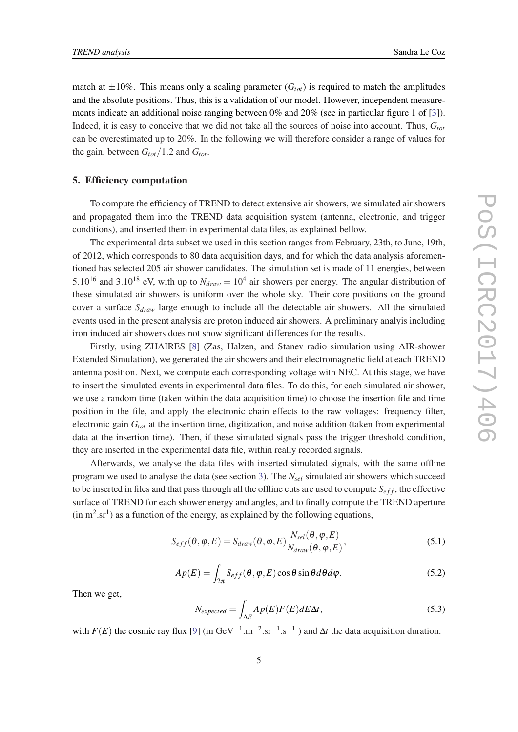<span id="page-5-0"></span>match at  $\pm 10\%$ . This means only a scaling parameter ( $G_{tot}$ ) is required to match the amplitudes and the absolute positions. Thus, this is a validation of our model. However, independent measurements indicate an additional noise ranging between 0% and 20% (see in particular figure 1 of [\[3\]](#page-8-0)). Indeed, it is easy to conceive that we did not take all the sources of noise into account. Thus, *Gtot* can be overestimated up to 20%. In the following we will therefore consider a range of values for the gain, between  $G_{tot}/1.2$  and  $G_{tot}$ .

## 5. Efficiency computation

To compute the efficiency of TREND to detect extensive air showers, we simulated air showers and propagated them into the TREND data acquisition system (antenna, electronic, and trigger conditions), and inserted them in experimental data files, as explained bellow.

The experimental data subset we used in this section ranges from February, 23th, to June, 19th, of 2012, which corresponds to 80 data acquisition days, and for which the data analysis aforementioned has selected 205 air shower candidates. The simulation set is made of 11 energies, between 5.10<sup>16</sup> and 3.10<sup>18</sup> eV, with up to  $N_{draw} = 10^4$  air showers per energy. The angular distribution of these simulated air showers is uniform over the whole sky. Their core positions on the ground cover a surface *Sdraw* large enough to include all the detectable air showers. All the simulated events used in the present analysis are proton induced air showers. A preliminary analyis including iron induced air showers does not show significant differences for the results.

Firstly, using ZHAIRES [[8](#page-8-0)] (Zas, Halzen, and Stanev radio simulation using AIR-shower Extended Simulation), we generated the air showers and their electromagnetic field at each TREND antenna position. Next, we compute each corresponding voltage with NEC. At this stage, we have to insert the simulated events in experimental data files. To do this, for each simulated air shower, we use a random time (taken within the data acquisition time) to choose the insertion file and time position in the file, and apply the electronic chain effects to the raw voltages: frequency filter, electronic gain *Gtot* at the insertion time, digitization, and noise addition (taken from experimental data at the insertion time). Then, if these simulated signals pass the trigger threshold condition, they are inserted in the experimental data file, within really recorded signals.

Afterwards, we analyse the data files with inserted simulated signals, with the same offline program we used to analyse the data (see section [3\)](#page-1-0). The *Nsel* simulated air showers which succeed to be inserted in files and that pass through all the offline cuts are used to compute  $S_{eff}$ , the effective surface of TREND for each shower energy and angles, and to finally compute the TREND aperture  $(in m<sup>2</sup>.sr<sup>1</sup>)$  as a function of the energy, as explained by the following equations,

$$
S_{eff}(\theta, \varphi, E) = S_{draw}(\theta, \varphi, E) \frac{N_{sel}(\theta, \varphi, E)}{N_{draw}(\theta, \varphi, E)},
$$
\n(5.1)

$$
Ap(E) = \int_{2\pi} S_{eff}(\theta, \varphi, E) \cos \theta \sin \theta d\theta d\varphi.
$$
 (5.2)

Then we get,

$$
N_{expected} = \int_{\Delta E} Ap(E)F(E)dE\Delta t, \qquad (5.3)
$$

with  $F(E)$  the cosmic ray flux [\[9\]](#page-8-0) (in GeV<sup>-1</sup>.m<sup>-2</sup>.sr<sup>-1</sup>.s<sup>-1</sup>) and  $\Delta t$  the data acquisition duration.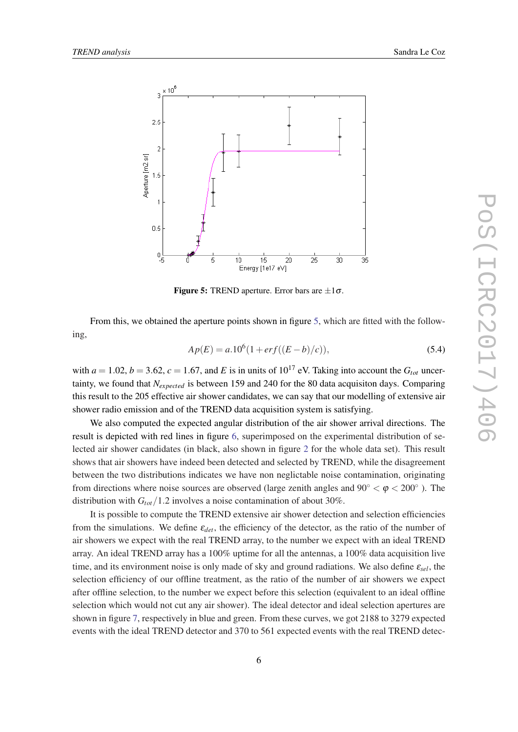

**Figure 5:** TREND aperture. Error bars are  $\pm 1\sigma$ .

From this, we obtained the aperture points shown in figure 5, which are fitted with the following,

$$
Ap(E) = a.106 (1 + erf((E - b)/c)),
$$
\n(5.4)

with  $a = 1.02$ ,  $b = 3.62$ ,  $c = 1.67$ , and *E* is in units of  $10^{17}$  eV. Taking into account the  $G_{tot}$  uncertainty, we found that *Nexpected* is between 159 and 240 for the 80 data acquisiton days. Comparing this result to the 205 effective air shower candidates, we can say that our modelling of extensive air shower radio emission and of the TREND data acquisition system is satisfying.

We also computed the expected angular distribution of the air shower arrival directions. The result is depicted with red lines in figure [6](#page-7-0), superimposed on the experimental distribution of selected air shower candidates (in black, also shown in figure [2](#page-3-0) for the whole data set). This result shows that air showers have indeed been detected and selected by TREND, while the disagreement between the two distributions indicates we have non neglictable noise contamination, originating from directions where noise sources are observed (large zenith angles and  $90^{\circ} < \varphi < 200^{\circ}$ ). The distribution with  $G_{tot}/1.2$  involves a noise contamination of about 30%.

It is possible to compute the TREND extensive air shower detection and selection efficiencies from the simulations. We define  $\varepsilon_{det}$ , the efficiency of the detector, as the ratio of the number of air showers we expect with the real TREND array, to the number we expect with an ideal TREND array. An ideal TREND array has a 100% uptime for all the antennas, a 100% data acquisition live time, and its environment noise is only made of sky and ground radiations. We also define ε*sel*, the selection efficiency of our offline treatment, as the ratio of the number of air showers we expect after offline selection, to the number we expect before this selection (equivalent to an ideal offline selection which would not cut any air shower). The ideal detector and ideal selection apertures are shown in figure [7](#page-7-0), respectively in blue and green. From these curves, we got 2188 to 3279 expected events with the ideal TREND detector and 370 to 561 expected events with the real TREND detec-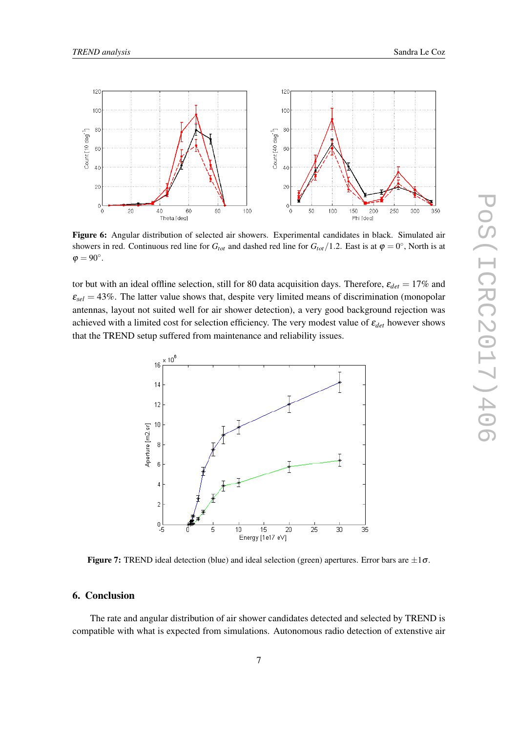<span id="page-7-0"></span>

Figure 6: Angular distribution of selected air showers. Experimental candidates in black. Simulated air showers in red. Continuous red line for  $G_{tot}$  and dashed red line for  $G_{tot}/1.2$ . East is at  $\varphi = 0^{\circ}$ , North is at  $\varphi = 90^\circ.$ 

tor but with an ideal offline selection, still for 80 data acquisition days. Therefore,  $\varepsilon_{det} = 17\%$  and  $\varepsilon_{\text{sel}} = 43\%$ . The latter value shows that, despite very limited means of discrimination (monopolar antennas, layout not suited well for air shower detection), a very good background rejection was achieved with a limited cost for selection efficiency. The very modest value of  $\varepsilon_{det}$  however shows that the TREND setup suffered from maintenance and reliability issues.



**Figure 7:** TREND ideal detection (blue) and ideal selection (green) apertures. Error bars are  $\pm 1\sigma$ .

## 6. Conclusion

The rate and angular distribution of air shower candidates detected and selected by TREND is compatible with what is expected from simulations. Autonomous radio detection of extenstive air